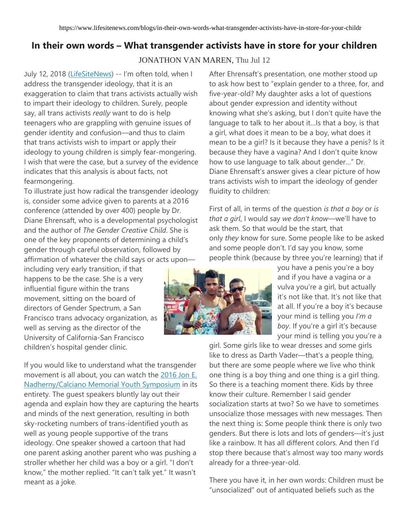## **In their own words – What transgender activists have in store for your children**

## JONATHON VAN MAREN, Thu Jul 12

July 12, 2018 [\(LifeSiteNews\)](http://www.lifesitenews.com/) -- I'm often told, when I address the transgender ideology, that it is an exaggeration to claim that trans activists actually wish to impart their ideology to children. Surely, people say, all trans activists *really* want to do is help teenagers who are grappling with genuine issues of gender identity and confusion—and thus to claim that trans activists wish to impart or apply their ideology to young children is simply fear-mongering. I wish that were the case, but a survey of the evidence indicates that this analysis is about facts, not fearmongering.

To illustrate just how radical the transgender ideology is, consider some advice given to parents at a 2016 conference (attended by over 400) people by Dr. Diane Ehrensaft, who is a developmental psychologist and the author of *The Gender Creative Child*. She is one of the key proponents of determining a child's gender through careful observation, followed by affirmation of whatever the child says or acts upon—

including very early transition, if that happens to be the case. She is a very influential figure within the trans movement, sitting on the board of directors of Gender Spectrum, a San Francisco trans advocacy organization, as well as serving as the director of the University of California-San Francisco children's hospital gender clinic.

If you would like to understand what the transgender movement is all about, you can watch the [2016 Jon E.](https://www.youtube.com/watch?v=30rEjumFaDY)  [Nadherny/Calciano Memorial Youth Symposium](https://www.youtube.com/watch?v=30rEjumFaDY) in its entirety. The guest speakers bluntly lay out their agenda and explain how they are capturing the hearts and minds of the next generation, resulting in both sky-rocketing numbers of trans-identified youth as well as young people supportive of the trans ideology. One speaker showed a cartoon that had one parent asking another parent who was pushing a stroller whether her child was a boy or a girl. "I don't know," the mother replied. "It can't talk yet." It wasn't meant as a joke.

After Ehrensaft's presentation, one mother stood up to ask how best to "explain gender to a three, for, and five-year-old? My daughter asks a lot of questions about gender expression and identity without knowing what she's asking, but I don't quite have the language to talk to her about it…Is that a boy, is that a girl, what does it mean to be a boy, what does it mean to be a girl? Is it because they have a penis? Is it because they have a vagina? And I don't quite know how to use language to talk about gender…" Dr. Diane Ehrensaft's answer gives a clear picture of how trans activists wish to impart the ideology of gender fluidity to children:

First of all, in terms of the question *is that a boy* or *is that a girl*, I would say *we don't know*—we'll have to ask them. So that would be the start, that only *they* know for sure. Some people like to be asked and some people don't. I'd say you know, some people think (because by three you're learning) that if



you have a penis you're a boy and if you have a vagina or a vulva you're a girl, but actually it's not like that. It's not like that at all. If you're a boy it's because your mind is telling you *I'm a boy*. If you're a girl it's because your mind is telling you you're a

girl. Some girls like to wear dresses and some girls like to dress as Darth Vader—that's a people thing, but there are some people where we live who think one thing is a boy thing and one thing is a girl thing. So there is a teaching moment there. Kids by three know their culture. Remember I said gender socialization starts at two? So we have to sometimes unsocialize those messages with new messages. Then the next thing is: Some people think there is only two genders. But there is lots and lots of genders—it's just like a rainbow. It has all different colors. And then I'd stop there because that's almost way too many words already for a three-year-old.

There you have it, in her own words: Children must be "unsocialized" out of antiquated beliefs such as the